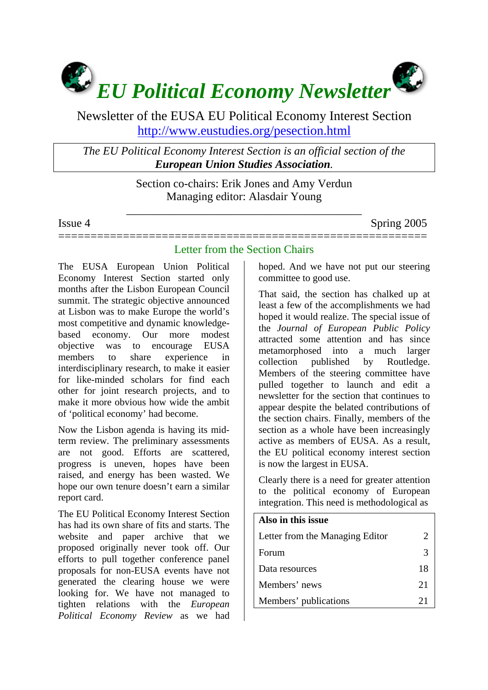

# Newsletter of the EUSA EU Political Economy Interest Section <http://www.eustudies.org/pesection.html>

*The EU Political Economy Interest Section is an official section of the European Union Studies Association.* 

> Section co-chairs: Erik Jones and Amy Verdun Managing editor: Alasdair Young

\_\_\_\_\_\_\_\_\_\_\_\_\_\_\_\_\_\_\_\_\_\_\_\_\_\_\_\_\_\_\_\_\_\_\_\_\_\_\_\_\_

Issue 4 Spring 2005

### ========================================================= Letter from the Section Chairs

The EUSA European Union Political Economy Interest Section started only months after the Lisbon European Council summit. The strategic objective announced at Lisbon was to make Europe the world's most competitive and dynamic knowledgebased economy. Our more modest objective was to encourage EUSA members to share experience in interdisciplinary research, to make it easier for like-minded scholars for find each other for joint research projects, and to make it more obvious how wide the ambit of 'political economy' had become.

Now the Lisbon agenda is having its midterm review. The preliminary assessments are not good. Efforts are scattered, progress is uneven, hopes have been raised, and energy has been wasted. We hope our own tenure doesn't earn a similar report card.

The EU Political Economy Interest Section has had its own share of fits and starts. The website and paper archive that we proposed originally never took off. Our efforts to pull together conference panel proposals for non-EUSA events have not generated the clearing house we were looking for. We have not managed to tighten relations with the *European Political Economy Review* as we had

hoped. And we have not put our steering committee to good use.

That said, the section has chalked up at least a few of the accomplishments we had hoped it would realize. The special issue of the *Journal of European Public Policy* attracted some attention and has since metamorphosed into a much larger collection published by Routledge. Members of the steering committee have pulled together to launch and edit a newsletter for the section that continues to appear despite the belated contributions of the section chairs. Finally, members of the section as a whole have been increasingly active as members of EUSA. As a result, the EU political economy interest section is now the largest in EUSA.

Clearly there is a need for greater attention to the political economy of European integration. This need is methodological as

| Also in this issue              |                       |
|---------------------------------|-----------------------|
| Letter from the Managing Editor | $\mathcal{D}_{\cdot}$ |
| Forum                           | 3                     |
| Data resources                  | 18                    |
| Members' news                   | 21                    |
| Members' publications           | 21                    |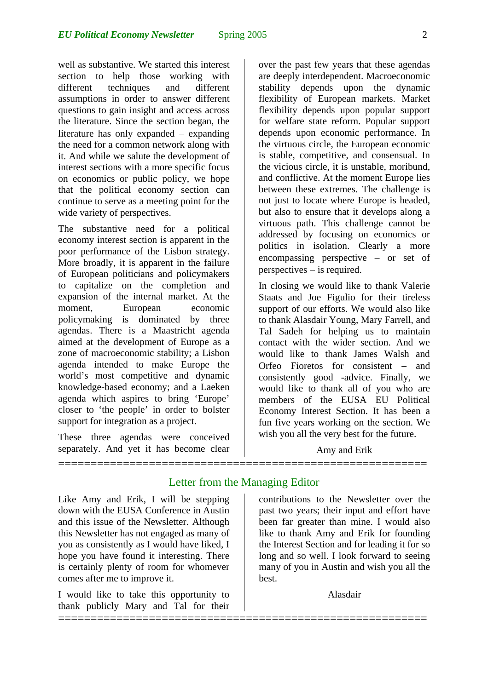well as substantive. We started this interest section to help those working with different techniques and different assumptions in order to answer different questions to gain insight and access across the literature. Since the section began, the literature has only expanded − expanding the need for a common network along with it. And while we salute the development of interest sections with a more specific focus on economics or public policy, we hope that the political economy section can continue to serve as a meeting point for the wide variety of perspectives.

The substantive need for a political economy interest section is apparent in the poor performance of the Lisbon strategy. More broadly, it is apparent in the failure of European politicians and policymakers to capitalize on the completion and expansion of the internal market. At the moment, European economic policymaking is dominated by three agendas. There is a Maastricht agenda aimed at the development of Europe as a zone of macroeconomic stability; a Lisbon agenda intended to make Europe the world's most competitive and dynamic knowledge-based economy; and a Laeken agenda which aspires to bring 'Europe' closer to 'the people' in order to bolster support for integration as a project.

These three agendas were conceived separately. And yet it has become clear

over the past few years that these agendas are deeply interdependent. Macroeconomic stability depends upon the dynamic flexibility of European markets. Market flexibility depends upon popular support for welfare state reform. Popular support depends upon economic performance. In the virtuous circle, the European economic is stable, competitive, and consensual. In the vicious circle, it is unstable, moribund, and conflictive. At the moment Europe lies between these extremes. The challenge is not just to locate where Europe is headed, but also to ensure that it develops along a virtuous path. This challenge cannot be addressed by focusing on economics or politics in isolation. Clearly a more encompassing perspective − or set of perspectives − is required.

In closing we would like to thank Valerie Staats and Joe Figulio for their tireless support of our efforts. We would also like to thank Alasdair Young, Mary Farrell, and Tal Sadeh for helping us to maintain contact with the wider section. And we would like to thank James Walsh and Orfeo Fioretos for consistent − and consistently good -advice. Finally, we would like to thank all of you who are members of the EUSA EU Political Economy Interest Section. It has been a fun five years working on the section. We wish you all the very best for the future.

Amy and Erik

## Letter from the Managing Editor

=========================================================

=========================================================

Like Amy and Erik, I will be stepping down with the EUSA Conference in Austin and this issue of the Newsletter. Although this Newsletter has not engaged as many of you as consistently as I would have liked, I hope you have found it interesting. There is certainly plenty of room for whomever comes after me to improve it.

I would like to take this opportunity to thank publicly Mary and Tal for their

contributions to the Newsletter over the past two years; their input and effort have been far greater than mine. I would also like to thank Amy and Erik for founding the Interest Section and for leading it for so long and so well. I look forward to seeing many of you in Austin and wish you all the best.

Alasdair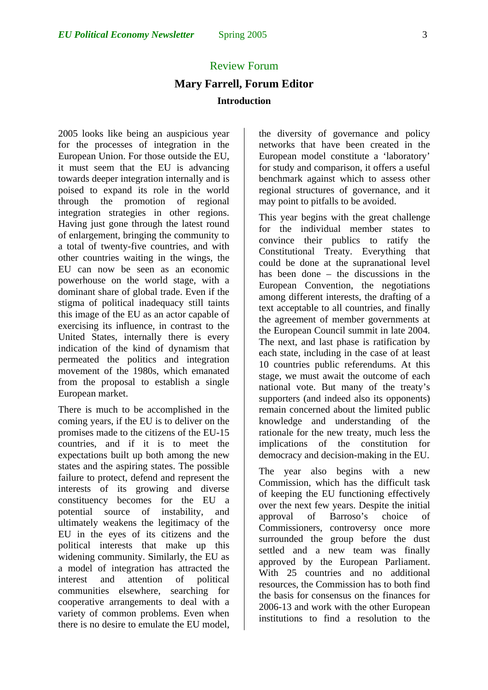### Review Forum

## **Mary Farrell, Forum Editor Introduction**

2005 looks like being an auspicious year for the processes of integration in the European Union. For those outside the EU, it must seem that the EU is advancing towards deeper integration internally and is poised to expand its role in the world through the promotion of regional integration strategies in other regions. Having just gone through the latest round of enlargement, bringing the community to a total of twenty-five countries, and with other countries waiting in the wings, the EU can now be seen as an economic powerhouse on the world stage, with a dominant share of global trade. Even if the stigma of political inadequacy still taints this image of the EU as an actor capable of exercising its influence, in contrast to the United States, internally there is every indication of the kind of dynamism that permeated the politics and integration movement of the 1980s, which emanated from the proposal to establish a single European market.

There is much to be accomplished in the coming years, if the EU is to deliver on the promises made to the citizens of the EU-15 countries, and if it is to meet the expectations built up both among the new states and the aspiring states. The possible failure to protect, defend and represent the interests of its growing and diverse constituency becomes for the EU a potential source of instability, and ultimately weakens the legitimacy of the EU in the eyes of its citizens and the political interests that make up this widening community. Similarly, the EU as a model of integration has attracted the interest and attention of political communities elsewhere, searching for cooperative arrangements to deal with a variety of common problems. Even when there is no desire to emulate the EU model,

the diversity of governance and policy networks that have been created in the European model constitute a 'laboratory' for study and comparison, it offers a useful benchmark against which to assess other regional structures of governance, and it may point to pitfalls to be avoided.

This year begins with the great challenge for the individual member states to convince their publics to ratify the Constitutional Treaty. Everything that could be done at the supranational level has been done – the discussions in the European Convention, the negotiations among different interests, the drafting of a text acceptable to all countries, and finally the agreement of member governments at the European Council summit in late 2004. The next, and last phase is ratification by each state, including in the case of at least 10 countries public referendums. At this stage, we must await the outcome of each national vote. But many of the treaty's supporters (and indeed also its opponents) remain concerned about the limited public knowledge and understanding of the rationale for the new treaty, much less the implications of the constitution for democracy and decision-making in the EU.

The year also begins with a new Commission, which has the difficult task of keeping the EU functioning effectively over the next few years. Despite the initial approval of Barroso's choice of Commissioners, controversy once more surrounded the group before the dust settled and a new team was finally approved by the European Parliament. With 25 countries and no additional resources, the Commission has to both find the basis for consensus on the finances for 2006-13 and work with the other European institutions to find a resolution to the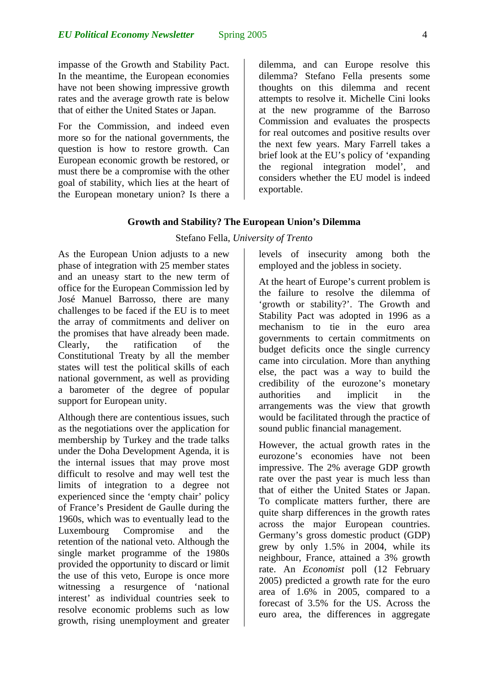impasse of the Growth and Stability Pact. In the meantime, the European economies have not been showing impressive growth rates and the average growth rate is below that of either the United States or Japan.

For the Commission, and indeed even more so for the national governments, the question is how to restore growth. Can European economic growth be restored, or must there be a compromise with the other goal of stability, which lies at the heart of the European monetary union? Is there a dilemma, and can Europe resolve this dilemma? Stefano Fella presents some thoughts on this dilemma and recent attempts to resolve it. Michelle Cini looks at the new programme of the Barroso Commission and evaluates the prospects for real outcomes and positive results over the next few years. Mary Farrell takes a brief look at the EU's policy of 'expanding the regional integration model', and considers whether the EU model is indeed exportable.

#### **Growth and Stability? The European Union's Dilemma**

#### Stefano Fella, *University of Trento*

As the European Union adjusts to a new phase of integration with 25 member states and an uneasy start to the new term of office for the European Commission led by José Manuel Barrosso, there are many challenges to be faced if the EU is to meet the array of commitments and deliver on the promises that have already been made. Clearly, the ratification of the Constitutional Treaty by all the member states will test the political skills of each national government, as well as providing a barometer of the degree of popular support for European unity.

Although there are contentious issues, such as the negotiations over the application for membership by Turkey and the trade talks under the Doha Development Agenda, it is the internal issues that may prove most difficult to resolve and may well test the limits of integration to a degree not experienced since the 'empty chair' policy of France's President de Gaulle during the 1960s, which was to eventually lead to the Luxembourg Compromise and the retention of the national veto. Although the single market programme of the 1980s provided the opportunity to discard or limit the use of this veto, Europe is once more witnessing a resurgence of 'national interest' as individual countries seek to resolve economic problems such as low growth, rising unemployment and greater levels of insecurity among both the employed and the jobless in society.

At the heart of Europe's current problem is the failure to resolve the dilemma of 'growth or stability?'. The Growth and Stability Pact was adopted in 1996 as a mechanism to tie in the euro area governments to certain commitments on budget deficits once the single currency came into circulation. More than anything else, the pact was a way to build the credibility of the eurozone's monetary authorities and implicit in the arrangements was the view that growth would be facilitated through the practice of sound public financial management.

However, the actual growth rates in the eurozone's economies have not been impressive. The 2% average GDP growth rate over the past year is much less than that of either the United States or Japan. To complicate matters further, there are quite sharp differences in the growth rates across the major European countries. Germany's gross domestic product (GDP) grew by only 1.5% in 2004, while its neighbour, France, attained a 3% growth rate. An *Economist* poll (12 February 2005) predicted a growth rate for the euro area of 1.6% in 2005, compared to a forecast of 3.5% for the US. Across the euro area, the differences in aggregate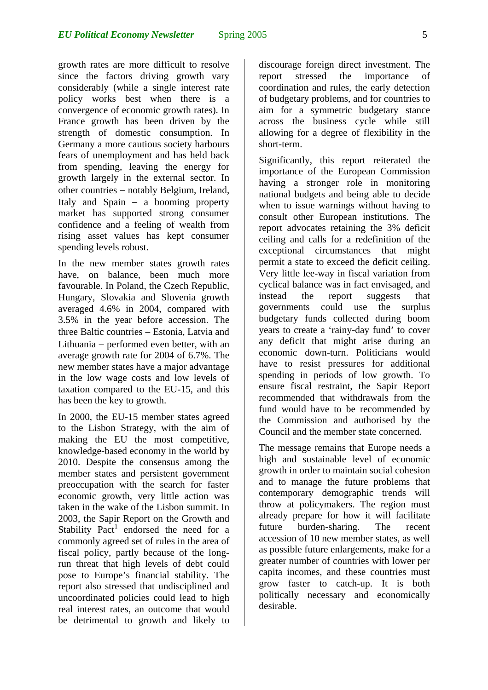growth rates are more difficult to resolve since the factors driving growth vary considerably (while a single interest rate policy works best when there is a convergence of economic growth rates). In France growth has been driven by the strength of domestic consumption. In Germany a more cautious society harbours fears of unemployment and has held back from spending, leaving the energy for growth largely in the external sector. In other countries − notably Belgium, Ireland, Italy and Spain − a booming property market has supported strong consumer confidence and a feeling of wealth from rising asset values has kept consumer spending levels robust.

In the new member states growth rates have, on balance, been much more favourable. In Poland, the Czech Republic, Hungary, Slovakia and Slovenia growth averaged 4.6% in 2004, compared with 3.5% in the year before accession. The three Baltic countries − Estonia, Latvia and Lithuania − performed even better, with an average growth rate for 2004 of 6.7%. The new member states have a major advantage in the low wage costs and low levels of taxation compared to the EU-15, and this has been the key to growth.

In 2000, the EU-15 member states agreed to the Lisbon Strategy, with the aim of making the EU the most competitive, knowledge-based economy in the world by 2010. Despite the consensus among the member states and persistent government preoccupation with the search for faster economic growth, very little action was taken in the wake of the Lisbon summit. In 2003, the Sapir Report on the Growth and Stability Pact<sup>[1](#page-7-0)</sup> endorsed the need for a commonly agreed set of rules in the area of fiscal policy, partly because of the longrun threat that high levels of debt could pose to Europe's financial stability. The report also stressed that undisciplined and uncoordinated policies could lead to high real interest rates, an outcome that would be detrimental to growth and likely to

discourage foreign direct investment. The report stressed the importance of coordination and rules, the early detection of budgetary problems, and for countries to aim for a symmetric budgetary stance across the business cycle while still allowing for a degree of flexibility in the short-term.

Significantly, this report reiterated the importance of the European Commission having a stronger role in monitoring national budgets and being able to decide when to issue warnings without having to consult other European institutions. The report advocates retaining the 3% deficit ceiling and calls for a redefinition of the exceptional circumstances that might permit a state to exceed the deficit ceiling. Very little lee-way in fiscal variation from cyclical balance was in fact envisaged, and instead the report suggests that governments could use the surplus budgetary funds collected during boom years to create a 'rainy-day fund' to cover any deficit that might arise during an economic down-turn. Politicians would have to resist pressures for additional spending in periods of low growth. To ensure fiscal restraint, the Sapir Report recommended that withdrawals from the fund would have to be recommended by the Commission and authorised by the Council and the member state concerned.

The message remains that Europe needs a high and sustainable level of economic growth in order to maintain social cohesion and to manage the future problems that contemporary demographic trends will throw at policymakers. The region must already prepare for how it will facilitate future burden-sharing. The recent accession of 10 new member states, as well as possible future enlargements, make for a greater number of countries with lower per capita incomes, and these countries must grow faster to catch-up. It is both politically necessary and economically desirable.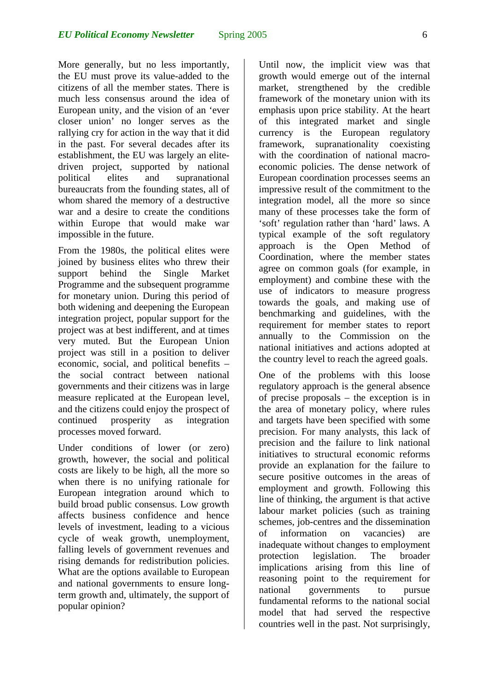More generally, but no less importantly, the EU must prove its value-added to the citizens of all the member states. There is much less consensus around the idea of European unity, and the vision of an 'ever closer union' no longer serves as the rallying cry for action in the way that it did in the past. For several decades after its establishment, the EU was largely an elitedriven project, supported by national political elites and supranational bureaucrats from the founding states, all of whom shared the memory of a destructive war and a desire to create the conditions within Europe that would make war impossible in the future.

From the 1980s, the political elites were joined by business elites who threw their support behind the Single Market Programme and the subsequent programme for monetary union. During this period of both widening and deepening the European integration project, popular support for the project was at best indifferent, and at times very muted. But the European Union project was still in a position to deliver economic, social, and political benefits – the social contract between national governments and their citizens was in large measure replicated at the European level, and the citizens could enjoy the prospect of continued prosperity as integration processes moved forward.

Under conditions of lower (or zero) growth, however, the social and political costs are likely to be high, all the more so when there is no unifying rationale for European integration around which to build broad public consensus. Low growth affects business confidence and hence levels of investment, leading to a vicious cycle of weak growth, unemployment, falling levels of government revenues and rising demands for redistribution policies. What are the options available to European and national governments to ensure longterm growth and, ultimately, the support of popular opinion?

Until now, the implicit view was that growth would emerge out of the internal market, strengthened by the credible framework of the monetary union with its emphasis upon price stability. At the heart of this integrated market and single currency is the European regulatory framework, supranationality coexisting with the coordination of national macroeconomic policies. The dense network of European coordination processes seems an impressive result of the commitment to the integration model, all the more so since many of these processes take the form of 'soft' regulation rather than 'hard' laws. A typical example of the soft regulatory approach is the Open Method of Coordination, where the member states agree on common goals (for example, in employment) and combine these with the use of indicators to measure progress towards the goals, and making use of benchmarking and guidelines, with the requirement for member states to report annually to the Commission on the national initiatives and actions adopted at the country level to reach the agreed goals.

One of the problems with this loose regulatory approach is the general absence of precise proposals – the exception is in the area of monetary policy, where rules and targets have been specified with some precision. For many analysts, this lack of precision and the failure to link national initiatives to structural economic reforms provide an explanation for the failure to secure positive outcomes in the areas of employment and growth. Following this line of thinking, the argument is that active labour market policies (such as training schemes, job-centres and the dissemination of information on vacancies) are inadequate without changes to employment protection legislation. The broader implications arising from this line of reasoning point to the requirement for national governments to pursue fundamental reforms to the national social model that had served the respective countries well in the past. Not surprisingly,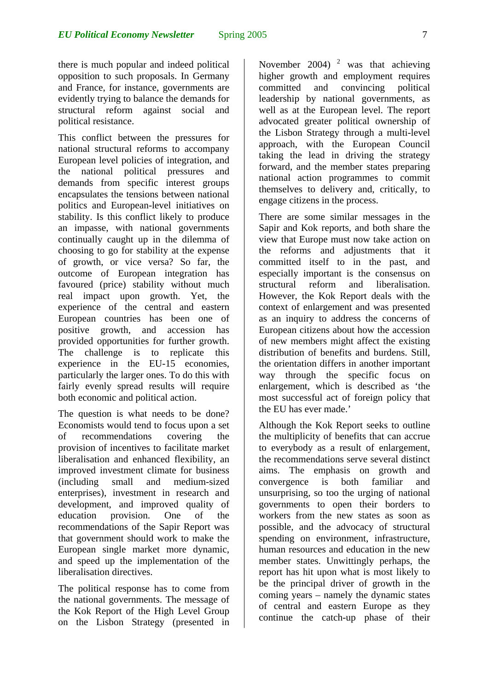there is much popular and indeed political opposition to such proposals. In Germany and France, for instance, governments are evidently trying to balance the demands for structural reform against social and political resistance.

This conflict between the pressures for national structural reforms to accompany European level policies of integration, and the national political pressures and demands from specific interest groups encapsulates the tensions between national politics and European-level initiatives on stability. Is this conflict likely to produce an impasse, with national governments continually caught up in the dilemma of choosing to go for stability at the expense of growth, or vice versa? So far, the outcome of European integration has favoured (price) stability without much real impact upon growth. Yet, the experience of the central and eastern European countries has been one of positive growth, and accession has provided opportunities for further growth. The challenge is to replicate this experience in the EU-15 economies, particularly the larger ones. To do this with fairly evenly spread results will require both economic and political action.

The question is what needs to be done? Economists would tend to focus upon a set of recommendations covering the provision of incentives to facilitate market liberalisation and enhanced flexibility, an improved investment climate for business (including small and medium-sized enterprises), investment in research and development, and improved quality of education provision. One of the recommendations of the Sapir Report was that government should work to make the European single market more dynamic, and speed up the implementation of the liberalisation directives.

The political response has to come from the national governments. The message of the Kok Report of the High Level Group on the Lisbon Strategy (presented in

November 2004)  $2 \text{ was that achieving}$  $2 \text{ was that achieving}$ higher growth and employment requires committed and convincing political leadership by national governments, as well as at the European level. The report advocated greater political ownership of the Lisbon Strategy through a multi-level approach, with the European Council taking the lead in driving the strategy forward, and the member states preparing national action programmes to commit themselves to delivery and, critically, to engage citizens in the process.

There are some similar messages in the Sapir and Kok reports, and both share the view that Europe must now take action on the reforms and adjustments that it committed itself to in the past, and especially important is the consensus on structural reform and liberalisation. However, the Kok Report deals with the context of enlargement and was presented as an inquiry to address the concerns of European citizens about how the accession of new members might affect the existing distribution of benefits and burdens. Still, the orientation differs in another important way through the specific focus on enlargement, which is described as 'the most successful act of foreign policy that the EU has ever made.'

Although the Kok Report seeks to outline the multiplicity of benefits that can accrue to everybody as a result of enlargement, the recommendations serve several distinct aims. The emphasis on growth and convergence is both familiar and unsurprising, so too the urging of national governments to open their borders to workers from the new states as soon as possible, and the advocacy of structural spending on environment, infrastructure, human resources and education in the new member states. Unwittingly perhaps, the report has hit upon what is most likely to be the principal driver of growth in the coming years – namely the dynamic states of central and eastern Europe as they continue the catch-up phase of their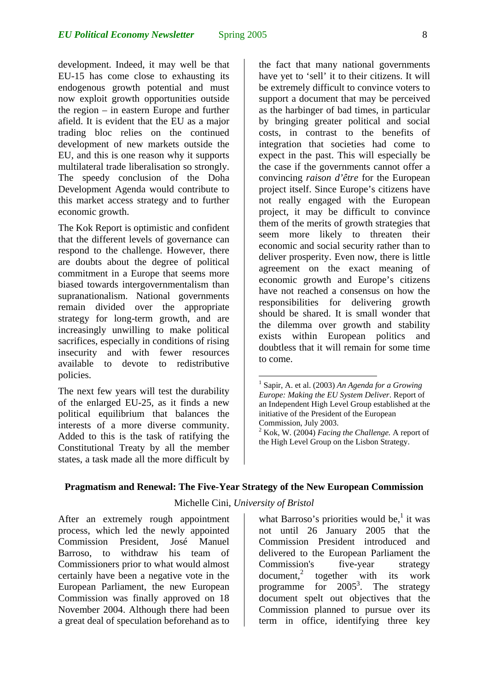development. Indeed, it may well be that EU-15 has come close to exhausting its endogenous growth potential and must now exploit growth opportunities outside the region – in eastern Europe and further afield. It is evident that the EU as a major trading bloc relies on the continued development of new markets outside the EU, and this is one reason why it supports multilateral trade liberalisation so strongly. The speedy conclusion of the Doha Development Agenda would contribute to this market access strategy and to further economic growth.

The Kok Report is optimistic and confident that the different levels of governance can respond to the challenge. However, there are doubts about the degree of political commitment in a Europe that seems more biased towards intergovernmentalism than supranationalism. National governments remain divided over the appropriate strategy for long-term growth, and are increasingly unwilling to make political sacrifices, especially in conditions of rising insecurity and with fewer resources available to devote to redistributive policies.

The next few years will test the durability of the enlarged EU-25, as it finds a new political equilibrium that balances the interests of a more diverse community. Added to this is the task of ratifying the Constitutional Treaty by all the member states, a task made all the more difficult by the fact that many national governments have yet to 'sell' it to their citizens. It will be extremely difficult to convince voters to support a document that may be perceived as the harbinger of bad times, in particular by bringing greater political and social costs, in contrast to the benefits of integration that societies had come to expect in the past. This will especially be the case if the governments cannot offer a convincing *raison d'être* for the European project itself. Since Europe's citizens have not really engaged with the European project, it may be difficult to convince them of the merits of growth strategies that seem more likely to threaten their economic and social security rather than to deliver prosperity. Even now, there is little agreement on the exact meaning of economic growth and Europe's citizens have not reached a consensus on how the responsibilities for delivering growth should be shared. It is small wonder that the dilemma over growth and stability exists within European politics and doubtless that it will remain for some time to come.

2 Kok, W. (2004) *Facing the Challenge.* A report of the High Level Group on the Lisbon Strategy.

#### **Pragmatism and Renewal: The Five-Year Strategy of the New European Commission**

 $\overline{a}$ 

#### Michelle Cini, *University of Bristol*

After an extremely rough appointment process, which led the newly appointed Commission President, José Manuel Barroso, to withdraw his team of Commissioners prior to what would almost certainly have been a negative vote in the European Parliament, the new European Commission was finally approved on 18 November 2004. Although there had been a great deal of speculation beforehand as to

what Barroso's priorities would be,<sup>[1](#page-12-1)</sup> it was not until 26 January 2005 that the Commission President introduced and delivered to the European Parliament the Commission's five-year strategy document,<sup>[2](#page-12-2)</sup> together with its work programme for  $2005^3$  $2005^3$ . The strategy document spelt out objectives that the Commission planned to pursue over its term in office, identifying three key

<span id="page-7-0"></span><sup>1</sup> Sapir, A. et al. (2003) *An Agenda for a Growing Europe: Making the EU System Deliver*. Report of an Independent High Level Group established at the initiative of the President of the European Commission, July 2003.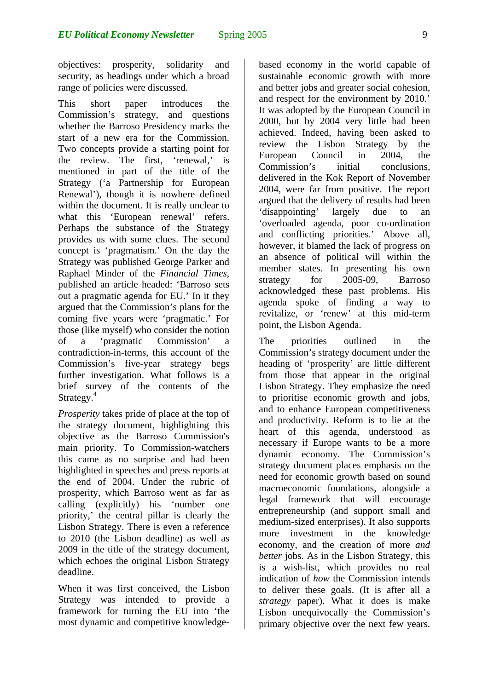objectives: prosperity, solidarity and security, as headings under which a broad range of policies were discussed.

This short paper introduces the Commission's strategy, and questions whether the Barroso Presidency marks the start of a new era for the Commission. Two concepts provide a starting point for the review. The first, 'renewal,' is mentioned in part of the title of the Strategy ('a Partnership for European Renewal'), though it is nowhere defined within the document. It is really unclear to what this 'European renewal' refers. Perhaps the substance of the Strategy provides us with some clues. The second concept is 'pragmatism.' On the day the Strategy was published George Parker and Raphael Minder of the *Financial Times*, published an article headed: 'Barroso sets out a pragmatic agenda for EU.' In it they argued that the Commission's plans for the coming five years were 'pragmatic.' For those (like myself) who consider the notion of a 'pragmatic Commission' a contradiction-in-terms, this account of the Commission's five-year strategy begs further investigation. What follows is a brief survey of the contents of the Strategy.<sup>[4](#page-12-4)</sup>

*Prosperity* takes pride of place at the top of the strategy document, highlighting this objective as the Barroso Commission's main priority. To Commission-watchers this came as no surprise and had been highlighted in speeches and press reports at the end of 2004. Under the rubric of prosperity, which Barroso went as far as calling (explicitly) his 'number one priority,' the central pillar is clearly the Lisbon Strategy. There is even a reference to 2010 (the Lisbon deadline) as well as 2009 in the title of the strategy document, which echoes the original Lisbon Strategy deadline.

When it was first conceived, the Lisbon Strategy was intended to provide a framework for turning the EU into 'the most dynamic and competitive knowledgebased economy in the world capable of sustainable economic growth with more and better jobs and greater social cohesion, and respect for the environment by 2010.' It was adopted by the European Council in 2000, but by 2004 very little had been achieved. Indeed, having been asked to review the Lisbon Strategy by the European Council in 2004, the<br>Commission's initial conclusions Commission's initial conclusions, delivered in the Kok Report of November 2004, were far from positive. The report argued that the delivery of results had been 'disappointing' largely due to an 'overloaded agenda, poor co-ordination and conflicting priorities.' Above all, however, it blamed the lack of progress on an absence of political will within the member states. In presenting his own strategy for 2005-09, Barroso acknowledged these past problems. His agenda spoke of finding a way to revitalize, or 'renew' at this mid-term point, the Lisbon Agenda.

The priorities outlined in the Commission's strategy document under the heading of 'prosperity' are little different from those that appear in the original Lisbon Strategy. They emphasize the need to prioritise economic growth and jobs, and to enhance European competitiveness and productivity. Reform is to lie at the heart of this agenda, understood as necessary if Europe wants to be a more dynamic economy. The Commission's strategy document places emphasis on the need for economic growth based on sound macroeconomic foundations, alongside a legal framework that will encourage entrepreneurship (and support small and medium-sized enterprises). It also supports more investment in the knowledge economy, and the creation of more *and better* jobs. As in the Lisbon Strategy, this is a wish-list, which provides no real indication of *how* the Commission intends to deliver these goals. (It is after all a *strategy* paper). What it does is make Lisbon unequivocally the Commission's primary objective over the next few years.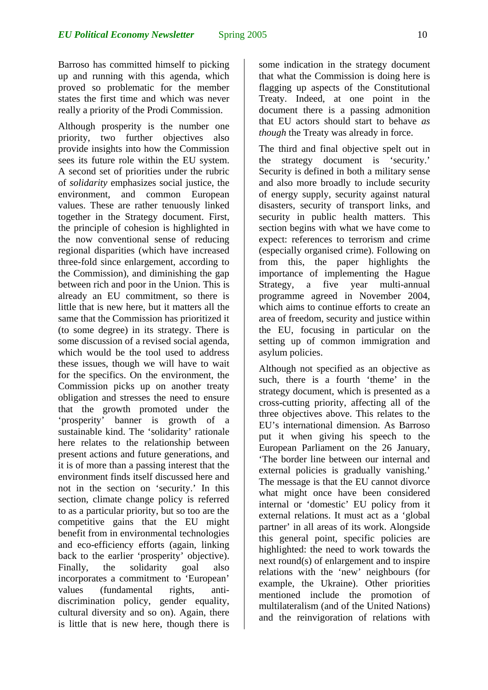Barroso has committed himself to picking up and running with this agenda, which proved so problematic for the member states the first time and which was never really a priority of the Prodi Commission.

Although prosperity is the number one priority, two further objectives also provide insights into how the Commission sees its future role within the EU system. A second set of priorities under the rubric of *solidarity* emphasizes social justice, the environment, and common European values. These are rather tenuously linked together in the Strategy document. First, the principle of cohesion is highlighted in the now conventional sense of reducing regional disparities (which have increased three-fold since enlargement, according to the Commission), and diminishing the gap between rich and poor in the Union. This is already an EU commitment, so there is little that is new here, but it matters all the same that the Commission has prioritized it (to some degree) in its strategy. There is some discussion of a revised social agenda, which would be the tool used to address these issues, though we will have to wait for the specifics. On the environment, the Commission picks up on another treaty obligation and stresses the need to ensure that the growth promoted under the 'prosperity' banner is growth of a sustainable kind. The 'solidarity' rationale here relates to the relationship between present actions and future generations, and it is of more than a passing interest that the environment finds itself discussed here and not in the section on 'security.' In this section, climate change policy is referred to as a particular priority, but so too are the competitive gains that the EU might benefit from in environmental technologies and eco-efficiency efforts (again, linking back to the earlier 'prosperity' objective). Finally, the solidarity goal also incorporates a commitment to 'European' values (fundamental rights, antidiscrimination policy, gender equality, cultural diversity and so on). Again, there is little that is new here, though there is

some indication in the strategy document that what the Commission is doing here is flagging up aspects of the Constitutional Treaty. Indeed, at one point in the document there is a passing admonition that EU actors should start to behave *as though* the Treaty was already in force.

The third and final objective spelt out in the strategy document is 'security.' Security is defined in both a military sense and also more broadly to include security of energy supply, security against natural disasters, security of transport links, and security in public health matters. This section begins with what we have come to expect: references to terrorism and crime (especially organised crime). Following on from this, the paper highlights the importance of implementing the Hague Strategy, a five year multi-annual programme agreed in November 2004, which aims to continue efforts to create an area of freedom, security and justice within the EU, focusing in particular on the setting up of common immigration and asylum policies.

Although not specified as an objective as such, there is a fourth 'theme' in the strategy document, which is presented as a cross-cutting priority, affecting all of the three objectives above. This relates to the EU's international dimension. As Barroso put it when giving his speech to the European Parliament on the 26 January, 'The border line between our internal and external policies is gradually vanishing.' The message is that the EU cannot divorce what might once have been considered internal or 'domestic' EU policy from it external relations. It must act as a 'global partner' in all areas of its work. Alongside this general point, specific policies are highlighted: the need to work towards the next round(s) of enlargement and to inspire relations with the 'new' neighbours (for example, the Ukraine). Other priorities mentioned include the promotion of multilateralism (and of the United Nations) and the reinvigoration of relations with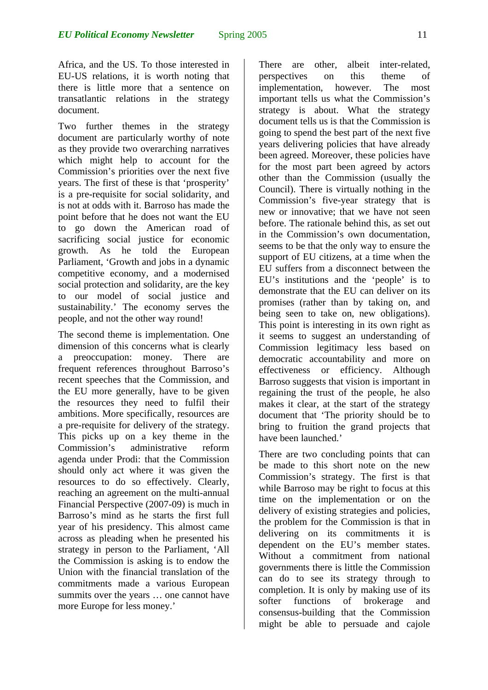Africa, and the US. To those interested in EU-US relations, it is worth noting that there is little more that a sentence on transatlantic relations in the strategy document.

Two further themes in the strategy document are particularly worthy of note as they provide two overarching narratives which might help to account for the Commission's priorities over the next five years. The first of these is that 'prosperity' is a pre-requisite for social solidarity, and is not at odds with it. Barroso has made the point before that he does not want the EU to go down the American road of sacrificing social justice for economic growth. As he told the European Parliament, 'Growth and jobs in a dynamic competitive economy, and a modernised social protection and solidarity, are the key to our model of social justice and sustainability.' The economy serves the people, and not the other way round!

The second theme is implementation. One dimension of this concerns what is clearly a preoccupation: money. There are frequent references throughout Barroso's recent speeches that the Commission, and the EU more generally, have to be given the resources they need to fulfil their ambitions. More specifically, resources are a pre-requisite for delivery of the strategy. This picks up on a key theme in the Commission's administrative reform agenda under Prodi: that the Commission should only act where it was given the resources to do so effectively. Clearly, reaching an agreement on the multi-annual Financial Perspective (2007-09) is much in Barroso's mind as he starts the first full year of his presidency. This almost came across as pleading when he presented his strategy in person to the Parliament, 'All the Commission is asking is to endow the Union with the financial translation of the commitments made a various European summits over the years … one cannot have more Europe for less money.'

There are other, albeit inter-related, perspectives on this theme of implementation, however. The most important tells us what the Commission's strategy is about. What the strategy document tells us is that the Commission is going to spend the best part of the next five years delivering policies that have already been agreed. Moreover, these policies have for the most part been agreed by actors other than the Commission (usually the Council). There is virtually nothing in the Commission's five-year strategy that is new or innovative; that we have not seen before. The rationale behind this, as set out in the Commission's own documentation, seems to be that the only way to ensure the support of EU citizens, at a time when the EU suffers from a disconnect between the EU's institutions and the 'people' is to demonstrate that the EU can deliver on its promises (rather than by taking on, and being seen to take on, new obligations). This point is interesting in its own right as it seems to suggest an understanding of Commission legitimacy less based on democratic accountability and more on effectiveness or efficiency. Although Barroso suggests that vision is important in regaining the trust of the people, he also makes it clear, at the start of the strategy document that 'The priority should be to bring to fruition the grand projects that have been launched.'

There are two concluding points that can be made to this short note on the new Commission's strategy. The first is that while Barroso may be right to focus at this time on the implementation or on the delivery of existing strategies and policies, the problem for the Commission is that in delivering on its commitments it is dependent on the EU's member states. Without a commitment from national governments there is little the Commission can do to see its strategy through to completion. It is only by making use of its softer functions of brokerage and consensus-building that the Commission might be able to persuade and cajole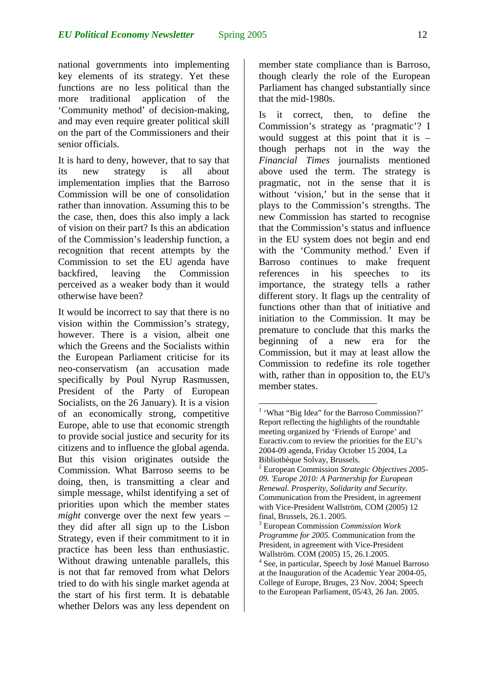national governments into implementing key elements of its strategy. Yet these functions are no less political than the more traditional application of the 'Community method' of decision-making, and may even require greater political skill

It is hard to deny, however, that to say that its new strategy is all about implementation implies that the Barroso Commission will be one of consolidation rather than innovation. Assuming this to be the case, then, does this also imply a lack of vision on their part? Is this an abdication of the Commission's leadership function, a recognition that recent attempts by the Commission to set the EU agenda have backfired, leaving the Commission perceived as a weaker body than it would otherwise have been?

on the part of the Commissioners and their

senior officials.

It would be incorrect to say that there is no vision within the Commission's strategy, however. There is a vision, albeit one which the Greens and the Socialists within the European Parliament criticise for its neo-conservatism (an accusation made specifically by Poul Nyrup Rasmussen, President of the Party of European Socialists, on the 26 January). It is a vision of an economically strong, competitive Europe, able to use that economic strength to provide social justice and security for its citizens and to influence the global agenda. But this vision originates outside the Commission. What Barroso seems to be doing, then, is transmitting a clear and simple message, whilst identifying a set of priorities upon which the member states *might* converge over the next few years – they did after all sign up to the Lisbon Strategy, even if their commitment to it in practice has been less than enthusiastic. Without drawing untenable parallels, this is not that far removed from what Delors tried to do with his single market agenda at the start of his first term. It is debatable whether Delors was any less dependent on

member state compliance than is Barroso, though clearly the role of the European Parliament has changed substantially since that the mid-1980s.

Is it correct, then, to define the Commission's strategy as 'pragmatic'? I would suggest at this point that it is – though perhaps not in the way the *Financial Times* journalists mentioned above used the term. The strategy is pragmatic, not in the sense that it is without 'vision,' but in the sense that it plays to the Commission's strengths. The new Commission has started to recognise that the Commission's status and influence in the EU system does not begin and end with the 'Community method.' Even if Barroso continues to make frequent references in his speeches to its importance, the strategy tells a rather different story. It flags up the centrality of functions other than that of initiative and initiation to the Commission. It may be premature to conclude that this marks the beginning of a new era for the Commission, but it may at least allow the Commission to redefine its role together with, rather than in opposition to, the EU's member states.

 $\overline{a}$ <sup>1</sup> 'What "Big Idea" for the Barroso Commission?' Report reflecting the highlights of the roundtable meeting organized by 'Friends of Europe' and Euractiv.com to review the priorities for the EU's 2004-09 agenda, Friday October 15 2004, La Bibliothèque Solvay, Brussels.

<sup>2</sup> European Commission *Strategic Objectives 2005- 09. 'Europe 2010: A Partnership for European Renewal. Prosperity, Solidarity and Security.*  Communication from the President, in agreement with Vice-President Wallström, COM (2005) 12 final, Brussels, 26.1. 2005.

<sup>3</sup> European Commission *Commission Work Programme for 2005.* Communication from the President, in agreement with Vice-President Wallström. COM (2005) 15, 26.1.2005.

<sup>4</sup> See, in particular, Speech by José Manuel Barroso at the Inauguration of the Academic Year 2004-05, College of Europe, Bruges, 23 Nov. 2004; Speech to the European Parliament, 05/43, 26 Jan. 2005.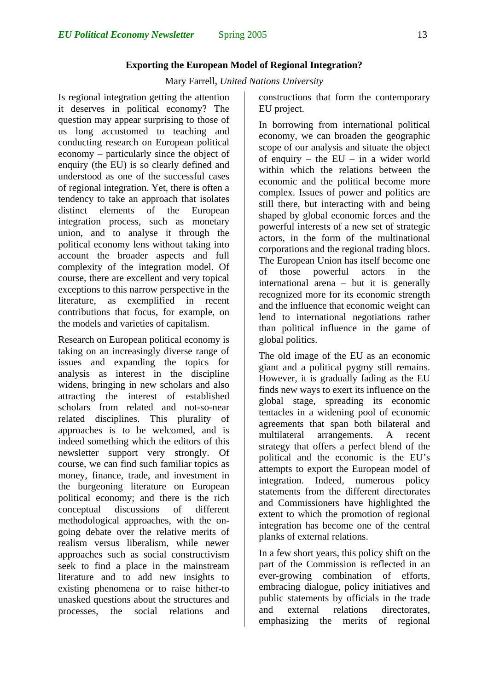### **Exporting the European Model of Regional Integration?**

Mary Farrell, *United Nations University*

Is regional integration getting the attention it deserves in political economy? The question may appear surprising to those of us long accustomed to teaching and conducting research on European political economy – particularly since the object of enquiry (the EU) is so clearly defined and understood as one of the successful cases of regional integration. Yet, there is often a tendency to take an approach that isolates distinct elements of the European integration process, such as monetary union, and to analyse it through the political economy lens without taking into account the broader aspects and full complexity of the integration model. Of course, there are excellent and very topical exceptions to this narrow perspective in the literature, as exemplified in recent contributions that focus, for example, on the models and varieties of capitalism.

Research on European political economy is taking on an increasingly diverse range of issues and expanding the topics for analysis as interest in the discipline widens, bringing in new scholars and also attracting the interest of established scholars from related and not-so-near related disciplines. This plurality of approaches is to be welcomed, and is indeed something which the editors of this newsletter support very strongly. Of course, we can find such familiar topics as money, finance, trade, and investment in the burgeoning literature on European political economy; and there is the rich conceptual discussions of different methodological approaches, with the ongoing debate over the relative merits of realism versus liberalism, while newer approaches such as social constructivism seek to find a place in the mainstream literature and to add new insights to existing phenomena or to raise hither-to unasked questions about the structures and processes, the social relations and

constructions that form the contemporary EU project.

In borrowing from international political economy, we can broaden the geographic scope of our analysis and situate the object of enquiry – the  $EU$  – in a wider world within which the relations between the economic and the political become more complex. Issues of power and politics are still there, but interacting with and being shaped by global economic forces and the powerful interests of a new set of strategic actors, in the form of the multinational corporations and the regional trading blocs. The European Union has itself become one of those powerful actors in the international arena – but it is generally recognized more for its economic strength and the influence that economic weight can lend to international negotiations rather than political influence in the game of global politics.

<span id="page-12-4"></span><span id="page-12-1"></span><span id="page-12-0"></span>The old image of the EU as an economic giant and a political pygmy still remains. However, it is gradually fading as the EU finds new ways to exert its influence on the global stage, spreading its economic tentacles in a widening pool of economic agreements that span both bilateral and multilateral arrangements. A recent strategy that offers a perfect blend of the political and the economic is the EU's attempts to export the European model of integration. Indeed, numerous policy statements from the different directorates and Commissioners have highlighted the extent to which the promotion of regional integration has become one of the central planks of external relations.

<span id="page-12-3"></span><span id="page-12-2"></span>In a few short years, this policy shift on the part of the Commission is reflected in an ever-growing combination of efforts, embracing dialogue, policy initiatives and public statements by officials in the trade and external relations directorates, emphasizing the merits of regional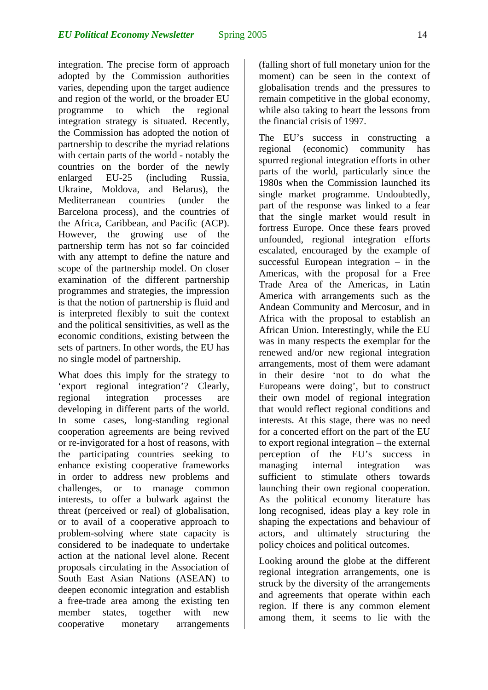integration. The precise form of approach adopted by the Commission authorities varies, depending upon the target audience and region of the world, or the broader EU programme to which the regional integration strategy is situated. Recently, the Commission has adopted the notion of partnership to describe the myriad relations with certain parts of the world - notably the countries on the border of the newly enlarged EU-25 (including Russia, Ukraine, Moldova, and Belarus), the Mediterranean countries (under the Barcelona process), and the countries of the Africa, Caribbean, and Pacific (ACP). However, the growing use of the partnership term has not so far coincided with any attempt to define the nature and scope of the partnership model. On closer examination of the different partnership programmes and strategies, the impression is that the notion of partnership is fluid and is interpreted flexibly to suit the context and the political sensitivities, as well as the economic conditions, existing between the sets of partners. In other words, the EU has no single model of partnership.

What does this imply for the strategy to 'export regional integration'? Clearly, regional integration processes are developing in different parts of the world. In some cases, long-standing regional cooperation agreements are being revived or re-invigorated for a host of reasons, with the participating countries seeking to enhance existing cooperative frameworks in order to address new problems and challenges, or to manage common interests, to offer a bulwark against the threat (perceived or real) of globalisation, or to avail of a cooperative approach to problem-solving where state capacity is considered to be inadequate to undertake action at the national level alone. Recent proposals circulating in the Association of South East Asian Nations (ASEAN) to deepen economic integration and establish a free-trade area among the existing ten member states, together with new cooperative monetary arrangements

(falling short of full monetary union for the moment) can be seen in the context of globalisation trends and the pressures to remain competitive in the global economy, while also taking to heart the lessons from the financial crisis of 1997.

The EU's success in constructing a regional (economic) community has spurred regional integration efforts in other parts of the world, particularly since the 1980s when the Commission launched its single market programme. Undoubtedly, part of the response was linked to a fear that the single market would result in fortress Europe. Once these fears proved unfounded, regional integration efforts escalated, encouraged by the example of successful European integration – in the Americas, with the proposal for a Free Trade Area of the Americas, in Latin America with arrangements such as the Andean Community and Mercosur, and in Africa with the proposal to establish an African Union. Interestingly, while the EU was in many respects the exemplar for the renewed and/or new regional integration arrangements, most of them were adamant in their desire 'not to do what the Europeans were doing', but to construct their own model of regional integration that would reflect regional conditions and interests. At this stage, there was no need for a concerted effort on the part of the EU to export regional integration – the external perception of the EU's success in managing internal integration was sufficient to stimulate others towards launching their own regional cooperation. As the political economy literature has long recognised, ideas play a key role in shaping the expectations and behaviour of actors, and ultimately structuring the policy choices and political outcomes.

Looking around the globe at the different regional integration arrangements, one is struck by the diversity of the arrangements and agreements that operate within each region. If there is any common element among them, it seems to lie with the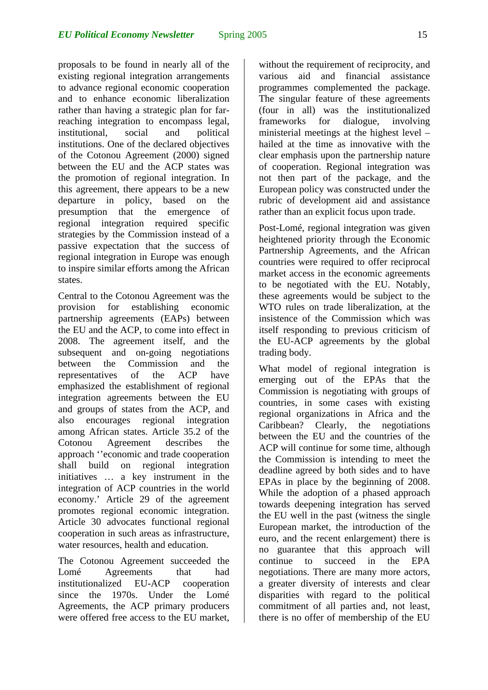proposals to be found in nearly all of the existing regional integration arrangements to advance regional economic cooperation and to enhance economic liberalization rather than having a strategic plan for farreaching integration to encompass legal, institutional, social and political institutions. One of the declared objectives of the Cotonou Agreement (2000) signed between the EU and the ACP states was the promotion of regional integration. In this agreement, there appears to be a new departure in policy, based on the presumption that the emergence of regional integration required specific strategies by the Commission instead of a passive expectation that the success of regional integration in Europe was enough to inspire similar efforts among the African states.

Central to the Cotonou Agreement was the provision for establishing economic partnership agreements (EAPs) between the EU and the ACP, to come into effect in 2008. The agreement itself, and the subsequent and on-going negotiations between the Commission and the representatives of the ACP have emphasized the establishment of regional integration agreements between the EU and groups of states from the ACP, and also encourages regional integration among African states. Article 35.2 of the Cotonou Agreement describes the approach ''economic and trade cooperation shall build on regional integration initiatives … a key instrument in the integration of ACP countries in the world economy.' Article 29 of the agreement promotes regional economic integration. Article 30 advocates functional regional cooperation in such areas as infrastructure, water resources, health and education.

The Cotonou Agreement succeeded the Lomé Agreements that had institutionalized EU-ACP cooperation since the 1970s. Under the Lomé Agreements, the ACP primary producers were offered free access to the EU market,

without the requirement of reciprocity, and various aid and financial assistance programmes complemented the package. The singular feature of these agreements (four in all) was the institutionalized frameworks for dialogue, involving ministerial meetings at the highest level – hailed at the time as innovative with the clear emphasis upon the partnership nature of cooperation. Regional integration was not then part of the package, and the European policy was constructed under the rubric of development aid and assistance rather than an explicit focus upon trade.

Post-Lomé, regional integration was given heightened priority through the Economic Partnership Agreements, and the African countries were required to offer reciprocal market access in the economic agreements to be negotiated with the EU. Notably, these agreements would be subject to the WTO rules on trade liberalization, at the insistence of the Commission which was itself responding to previous criticism of the EU-ACP agreements by the global trading body.

What model of regional integration is emerging out of the EPAs that the Commission is negotiating with groups of countries, in some cases with existing regional organizations in Africa and the Caribbean? Clearly, the negotiations between the EU and the countries of the ACP will continue for some time, although the Commission is intending to meet the deadline agreed by both sides and to have EPAs in place by the beginning of 2008. While the adoption of a phased approach towards deepening integration has served the EU well in the past (witness the single European market, the introduction of the euro, and the recent enlargement) there is no guarantee that this approach will continue to succeed in the EPA negotiations. There are many more actors, a greater diversity of interests and clear disparities with regard to the political commitment of all parties and, not least, there is no offer of membership of the EU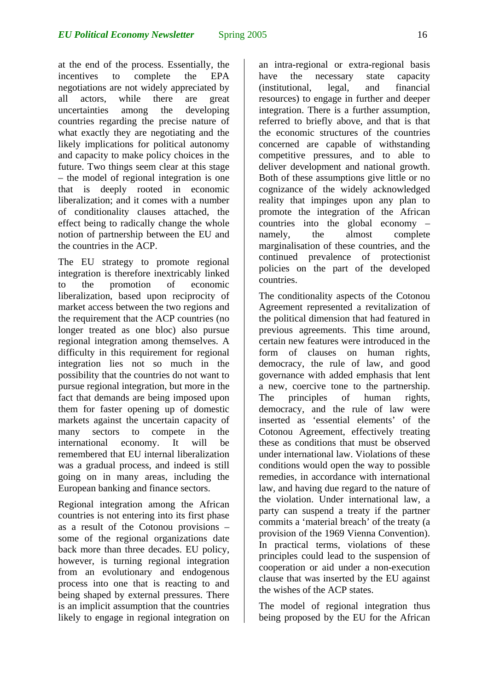at the end of the process. Essentially, the incentives to complete the EPA negotiations are not widely appreciated by all actors, while there are great uncertainties among the developing countries regarding the precise nature of what exactly they are negotiating and the likely implications for political autonomy and capacity to make policy choices in the future. Two things seem clear at this stage – the model of regional integration is one that is deeply rooted in economic liberalization; and it comes with a number of conditionality clauses attached, the effect being to radically change the whole notion of partnership between the EU and the countries in the ACP.

The EU strategy to promote regional integration is therefore inextricably linked to the promotion of economic liberalization, based upon reciprocity of market access between the two regions and the requirement that the ACP countries (no longer treated as one bloc) also pursue regional integration among themselves. A difficulty in this requirement for regional integration lies not so much in the possibility that the countries do not want to pursue regional integration, but more in the fact that demands are being imposed upon them for faster opening up of domestic markets against the uncertain capacity of many sectors to compete in the international economy. It will be remembered that EU internal liberalization was a gradual process, and indeed is still going on in many areas, including the European banking and finance sectors.

Regional integration among the African countries is not entering into its first phase as a result of the Cotonou provisions – some of the regional organizations date back more than three decades. EU policy, however, is turning regional integration from an evolutionary and endogenous process into one that is reacting to and being shaped by external pressures. There is an implicit assumption that the countries likely to engage in regional integration on

an intra-regional or extra-regional basis have the necessary state capacity (institutional, legal, and financial resources) to engage in further and deeper integration. There is a further assumption, referred to briefly above, and that is that the economic structures of the countries concerned are capable of withstanding competitive pressures, and to able to deliver development and national growth. Both of these assumptions give little or no cognizance of the widely acknowledged reality that impinges upon any plan to promote the integration of the African countries into the global economy – namely, the almost complete marginalisation of these countries, and the continued prevalence of protectionist policies on the part of the developed countries.

The conditionality aspects of the Cotonou Agreement represented a revitalization of the political dimension that had featured in previous agreements. This time around, certain new features were introduced in the form of clauses on human rights, democracy, the rule of law, and good governance with added emphasis that lent a new, coercive tone to the partnership. The principles of human rights, democracy, and the rule of law were inserted as 'essential elements' of the Cotonou Agreement, effectively treating these as conditions that must be observed under international law. Violations of these conditions would open the way to possible remedies, in accordance with international law, and having due regard to the nature of the violation. Under international law, a party can suspend a treaty if the partner commits a 'material breach' of the treaty (a provision of the 1969 Vienna Convention). In practical terms, violations of these principles could lead to the suspension of cooperation or aid under a non-execution clause that was inserted by the EU against the wishes of the ACP states.

The model of regional integration thus being proposed by the EU for the African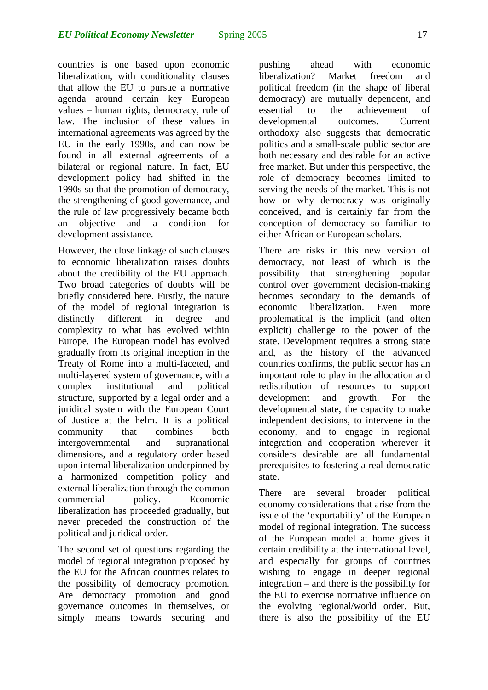countries is one based upon economic liberalization, with conditionality clauses that allow the EU to pursue a normative agenda around certain key European values – human rights, democracy, rule of law. The inclusion of these values in international agreements was agreed by the EU in the early 1990s, and can now be found in all external agreements of a bilateral or regional nature. In fact, EU development policy had shifted in the 1990s so that the promotion of democracy, the strengthening of good governance, and the rule of law progressively became both an objective and a condition for development assistance.

However, the close linkage of such clauses to economic liberalization raises doubts about the credibility of the EU approach. Two broad categories of doubts will be briefly considered here. Firstly, the nature of the model of regional integration is distinctly different in degree and complexity to what has evolved within Europe. The European model has evolved gradually from its original inception in the Treaty of Rome into a multi-faceted, and multi-layered system of governance, with a complex institutional and political structure, supported by a legal order and a juridical system with the European Court of Justice at the helm. It is a political community that combines both intergovernmental and supranational dimensions, and a regulatory order based upon internal liberalization underpinned by a harmonized competition policy and external liberalization through the common commercial policy. Economic liberalization has proceeded gradually, but never preceded the construction of the political and juridical order.

The second set of questions regarding the model of regional integration proposed by the EU for the African countries relates to the possibility of democracy promotion. Are democracy promotion and good governance outcomes in themselves, or simply means towards securing and pushing ahead with economic liberalization? Market freedom and political freedom (in the shape of liberal democracy) are mutually dependent, and essential to the achievement of developmental outcomes. Current orthodoxy also suggests that democratic politics and a small-scale public sector are both necessary and desirable for an active free market. But under this perspective, the role of democracy becomes limited to serving the needs of the market. This is not how or why democracy was originally conceived, and is certainly far from the conception of democracy so familiar to either African or European scholars.

There are risks in this new version of democracy, not least of which is the possibility that strengthening popular control over government decision-making becomes secondary to the demands of economic liberalization. Even more problematical is the implicit (and often explicit) challenge to the power of the state. Development requires a strong state and, as the history of the advanced countries confirms, the public sector has an important role to play in the allocation and redistribution of resources to support development and growth. For the developmental state, the capacity to make independent decisions, to intervene in the economy, and to engage in regional integration and cooperation wherever it considers desirable are all fundamental prerequisites to fostering a real democratic state.

There are several broader political economy considerations that arise from the issue of the 'exportability' of the European model of regional integration. The success of the European model at home gives it certain credibility at the international level, and especially for groups of countries wishing to engage in deeper regional integration – and there is the possibility for the EU to exercise normative influence on the evolving regional/world order. But, there is also the possibility of the EU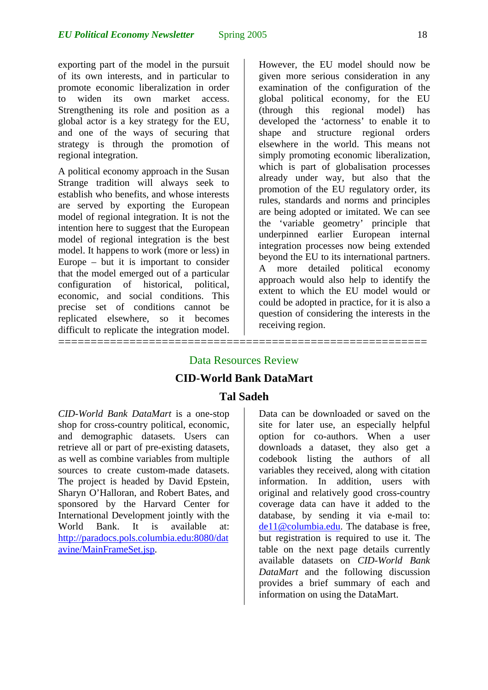exporting part of the model in the pursuit of its own interests, and in particular to promote economic liberalization in order to widen its own market access. Strengthening its role and position as a global actor is a key strategy for the EU, and one of the ways of securing that strategy is through the promotion of regional integration.

A political economy approach in the Susan Strange tradition will always seek to establish who benefits, and whose interests are served by exporting the European model of regional integration. It is not the intention here to suggest that the European model of regional integration is the best model. It happens to work (more or less) in Europe – but it is important to consider that the model emerged out of a particular configuration of historical, political, economic, and social conditions. This precise set of conditions cannot be replicated elsewhere, so it becomes difficult to replicate the integration model.

=========================================================

However, the EU model should now be given more serious consideration in any examination of the configuration of the global political economy, for the EU (through this regional model) has developed the 'actorness' to enable it to shape and structure regional orders elsewhere in the world. This means not simply promoting economic liberalization, which is part of globalisation processes already under way, but also that the promotion of the EU regulatory order, its rules, standards and norms and principles are being adopted or imitated. We can see the 'variable geometry' principle that underpinned earlier European internal integration processes now being extended beyond the EU to its international partners. A more detailed political economy approach would also help to identify the extent to which the EU model would or could be adopted in practice, for it is also a question of considering the interests in the receiving region.

# Data Resources Review **CID-World Bank DataMart**

### **Tal Sadeh**

*CID-World Bank DataMart* is a one-stop shop for cross-country political, economic, and demographic datasets. Users can retrieve all or part of pre-existing datasets, as well as combine variables from multiple sources to create custom-made datasets. The project is headed by David Epstein, Sharyn O'Halloran, and Robert Bates, and sponsored by the Harvard Center for International Development jointly with the World Bank. It is available at: [http://paradocs.pols.columbia.edu:8080/dat](http://paradocs.pols.columbia.edu:8080/datavine/MainFrameSet.jsp) [avine/MainFrameSet.jsp.](http://paradocs.pols.columbia.edu:8080/datavine/MainFrameSet.jsp)

Data can be downloaded or saved on the site for later use, an especially helpful option for co-authors. When a user downloads a dataset, they also get a codebook listing the authors of all variables they received, along with citation information. In addition, users with original and relatively good cross-country coverage data can have it added to the database, by sending it via e-mail to: [de11@columbia.edu](mailto:de11@columbia.edu). The database is free, but registration is required to use it. The table on the next page details currently available datasets on *CID-World Bank DataMart* and the following discussion provides a brief summary of each and information on using the DataMart.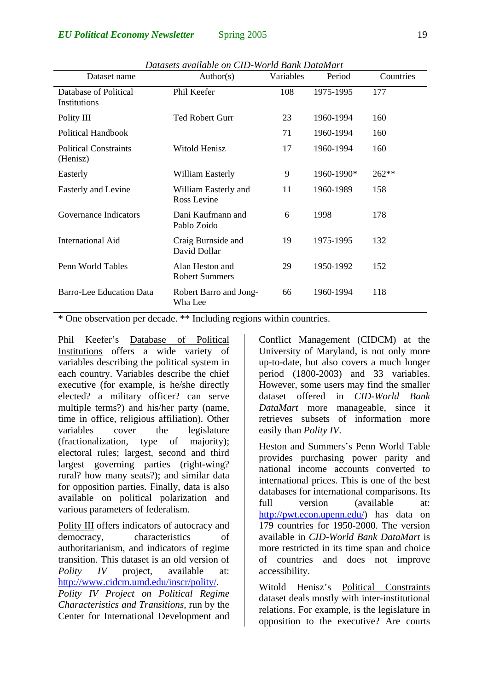| Dataset name                             | Author(s)                                | Variables | Period     | Countries |
|------------------------------------------|------------------------------------------|-----------|------------|-----------|
| Database of Political<br>Institutions    | Phil Keefer                              | 108       | 1975-1995  | 177       |
| Polity III                               | <b>Ted Robert Gurr</b>                   | 23        | 1960-1994  | 160       |
| <b>Political Handbook</b>                |                                          | 71        | 1960-1994  | 160       |
| <b>Political Constraints</b><br>(Henisz) | Witold Henisz                            | 17        | 1960-1994  | 160       |
| Easterly                                 | William Easterly                         | 9         | 1960-1990* | 262**     |
| Easterly and Levine                      | William Easterly and<br>Ross Levine      | 11        | 1960-1989  | 158       |
| <b>Governance Indicators</b>             | Dani Kaufmann and<br>Pablo Zoido         | 6         | 1998       | 178       |
| <b>International Aid</b>                 | Craig Burnside and<br>David Dollar       | 19        | 1975-1995  | 132       |
| Penn World Tables                        | Alan Heston and<br><b>Robert Summers</b> | 29        | 1950-1992  | 152       |
| <b>Barro-Lee Education Data</b>          | Robert Barro and Jong-<br>Wha Lee        | 66        | 1960-1994  | 118       |

*Datasets available on CID-World Bank DataMart* 

\* One observation per decade. \*\* Including regions within countries.

Phil Keefer's Database of Political Institutions offers a wide variety of variables describing the political system in each country. Variables describe the chief executive (for example, is he/she directly elected? a military officer? can serve multiple terms?) and his/her party (name, time in office, religious affiliation). Other variables cover the legislature (fractionalization, type of majority); electoral rules; largest, second and third largest governing parties (right-wing? rural? how many seats?); and similar data for opposition parties. Finally, data is also available on political polarization and various parameters of federalism.

Polity III offers indicators of autocracy and democracy, characteristics of authoritarianism, and indicators of regime transition. This dataset is an old version of *Polity IV* project, available at: [http://www.cidcm.umd.edu/inscr/polity/.](http://www.cidcm.umd.edu/inscr/polity/) *Polity IV Project on Political Regime* 

*Characteristics and Transitions*, run by the Center for International Development and Conflict Management (CIDCM) at the University of Maryland, is not only more up-to-date, but also covers a much longer period (1800-2003) and 33 variables. However, some users may find the smaller dataset offered in *CID-World Bank DataMart* more manageable, since it retrieves subsets of information more easily than *Polity IV*.

Heston and Summers's Penn World Table provides purchasing power parity and national income accounts converted to international prices. This is one of the best databases for international comparisons. Its full version (available at: <http://pwt.econ.upenn.edu/>) has data on 179 countries for 1950-2000. The version available in *CID-World Bank DataMart* is more restricted in its time span and choice of countries and does not improve accessibility.

Witold Henisz's Political Constraints dataset deals mostly with inter-institutional relations. For example, is the legislature in opposition to the executive? Are courts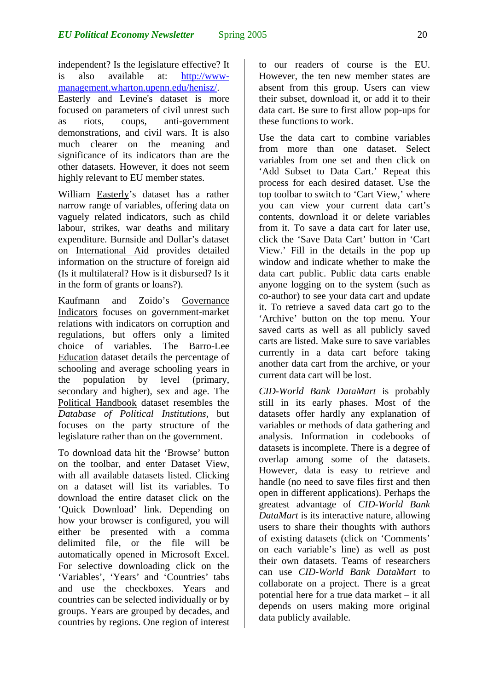independent? Is the legislature effective? It is also available at: [http://www](http://www-management.wharton.upenn.edu/henisz/)[management.wharton.upenn.edu/henisz/.](http://www-management.wharton.upenn.edu/henisz/) Easterly and Levine's dataset is more focused on parameters of civil unrest such as riots, coups, anti-government demonstrations, and civil wars. It is also much clearer on the meaning and significance of its indicators than are the other datasets. However, it does not seem highly relevant to EU member states.

William Easterly's dataset has a rather narrow range of variables, offering data on vaguely related indicators, such as child labour, strikes, war deaths and military expenditure. Burnside and Dollar's dataset on International Aid provides detailed information on the structure of foreign aid (Is it multilateral? How is it disbursed? Is it in the form of grants or loans?).

Kaufmann and Zoido's Governance Indicators focuses on government-market relations with indicators on corruption and regulations, but offers only a limited choice of variables. The Barro-Lee Education dataset details the percentage of schooling and average schooling years in the population by level (primary, secondary and higher), sex and age. The Political Handbook dataset resembles the *Database of Political Institutions*, but focuses on the party structure of the legislature rather than on the government.

To download data hit the 'Browse' button on the toolbar, and enter Dataset View, with all available datasets listed. Clicking on a dataset will list its variables. To download the entire dataset click on the 'Quick Download' link. Depending on how your browser is configured, you will either be presented with a comma delimited file, or the file will be automatically opened in Microsoft Excel. For selective downloading click on the 'Variables', 'Years' and 'Countries' tabs and use the checkboxes. Years and countries can be selected individually or by groups. Years are grouped by decades, and countries by regions. One region of interest

to our readers of course is the EU. However, the ten new member states are absent from this group. Users can view their subset, download it, or add it to their data cart. Be sure to first allow pop-ups for these functions to work.

Use the data cart to combine variables from more than one dataset. Select variables from one set and then click on 'Add Subset to Data Cart.' Repeat this process for each desired dataset. Use the top toolbar to switch to 'Cart View,' where you can view your current data cart's contents, download it or delete variables from it. To save a data cart for later use, click the 'Save Data Cart' button in 'Cart View.' Fill in the details in the pop up window and indicate whether to make the data cart public. Public data carts enable anyone logging on to the system (such as co-author) to see your data cart and update it. To retrieve a saved data cart go to the 'Archive' button on the top menu. Your saved carts as well as all publicly saved carts are listed. Make sure to save variables currently in a data cart before taking another data cart from the archive, or your current data cart will be lost.

*CID-World Bank DataMart* is probably still in its early phases. Most of the datasets offer hardly any explanation of variables or methods of data gathering and analysis. Information in codebooks of datasets is incomplete. There is a degree of overlap among some of the datasets. However, data is easy to retrieve and handle (no need to save files first and then open in different applications). Perhaps the greatest advantage of *CID-World Bank DataMart* is its interactive nature, allowing users to share their thoughts with authors of existing datasets (click on 'Comments' on each variable's line) as well as post their own datasets. Teams of researchers can use *CID-World Bank DataMart* to collaborate on a project. There is a great potential here for a true data market – it all depends on users making more original data publicly available.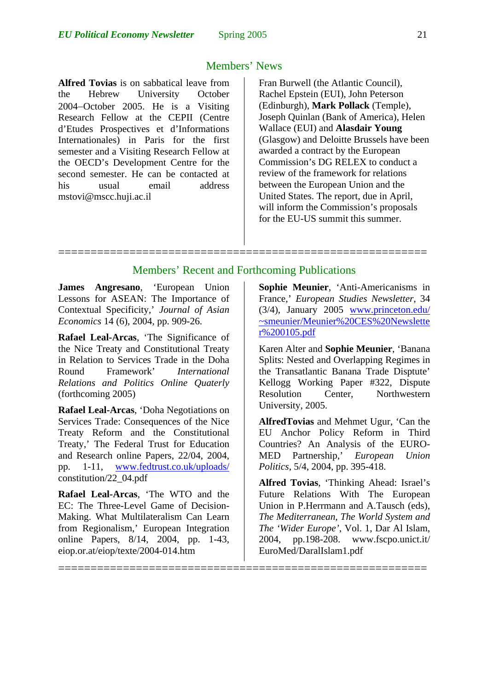#### Members' News

**Alfred Tovias** is on sabbatical leave from the Hebrew University October 2004−October 2005. He is a Visiting Research Fellow at the CEPII (Centre d'Etudes Prospectives et d'Informations Internationales) in Paris for the first semester and a Visiting Research Fellow at the OECD's Development Centre for the second semester. He can be contacted at his usual email address mstovi@mscc.huji.ac.il

Fran Burwell (the Atlantic Council), Rachel Epstein (EUI), John Peterson (Edinburgh), **Mark Pollack** (Temple), Joseph Quinlan (Bank of America), Helen Wallace (EUI) and **Alasdair Young** (Glasgow) and Deloitte Brussels have been awarded a contract by the European Commission's DG RELEX to conduct a review of the framework for relations between the European Union and the United States. The report, due in April, will inform the Commission's proposals for the EU-US summit this summer.

#### Members' Recent and Forthcoming Publications

=========================================================

=========================================================

**James Angresano**, 'European Union Lessons for ASEAN: The Importance of Contextual Specificity,' *Journal of Asian Economics* 14 (6), 2004, pp. 909-26.

**Rafael Leal-Arcas**, 'The Significance of the Nice Treaty and Constitutional Treaty in Relation to Services Trade in the Doha Round Framework' *International Relations and Politics Online Quaterly* (forthcoming 2005)

**Rafael Leal-Arcas**, 'Doha Negotiations on Services Trade: Consequences of the Nice Treaty Reform and the Constitutional Treaty,' The Federal Trust for Education and Research online Papers, 22/04, 2004, pp. 1-11, [www.fedtrust.co.uk/uploads/](http://www.fedtrust.co.uk/uploads/) constitution/22\_04.pdf

**Rafael Leal-Arcas**, 'The WTO and the EC: The Three-Level Game of Decision-Making. What Multilateralism Can Learn from Regionalism,' European Integration online Papers, 8/14, 2004, pp. 1-43, eiop.or.at/eiop/texte/2004-014.htm

**Sophie Meunier**, 'Anti-Americanisms in France,' *European Studies Newsletter*, 34 (3/4), January 2005 [www.princeton.edu/](http://www.princeton.edu/ ~smeunier/Meunier CES Newsletter 0105.pdf)  [~smeunier/Meunier%20CES%20Newslette](http://www.princeton.edu/ ~smeunier/Meunier CES Newsletter 0105.pdf) [r%200105.pdf](http://www.princeton.edu/ ~smeunier/Meunier CES Newsletter 0105.pdf)

Karen Alter and **Sophie Meunier**, 'Banana Splits: Nested and Overlapping Regimes in the Transatlantic Banana Trade Disptute' Kellogg Working Paper #322, Dispute Resolution Center, Northwestern University, 2005.

**AlfredTovias** and Mehmet Ugur, 'Can the EU Anchor Policy Reform in Third Countries? An Analysis of the EURO-MED Partnership,' *European Union Politics*, 5/4, 2004, pp. 395-418.

**Alfred Tovias**, 'Thinking Ahead: Israel's Future Relations With The European Union in P.Herrmann and A.Tausch (eds), *The Mediterranean, The World System and The 'Wider Europe'*, Vol. 1, Dar Al Islam, 2004, pp.198-208. [www.fscpo.unict.it/](http://www.fscpo.unict.it/) EuroMed/DaralIslam1.pdf